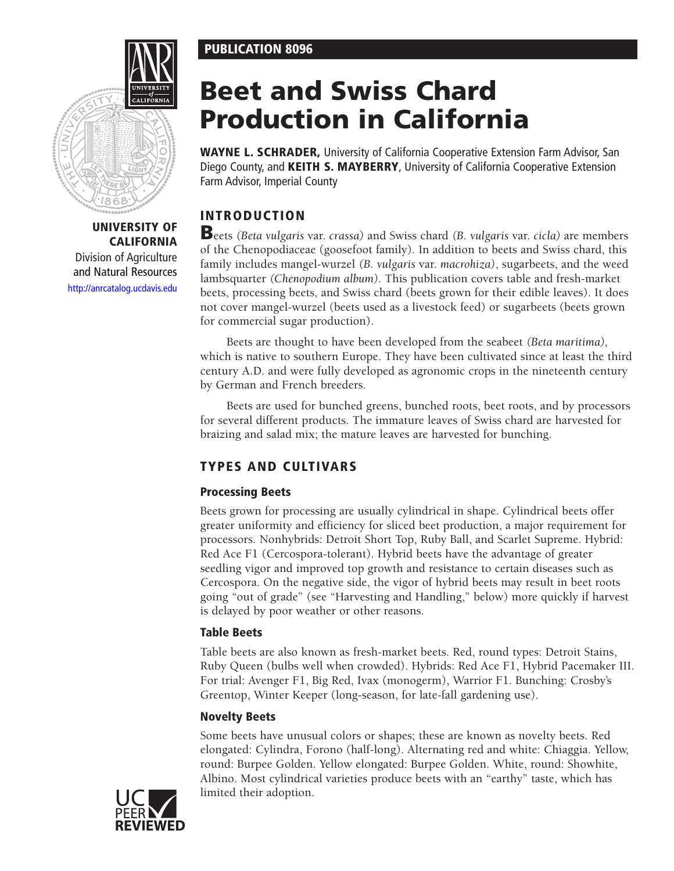# **PUBLICATION 8096**



# **UNIVERSITY OF CALIFORNIA**

Division of Agriculture and Natural Resources <http://anrcatalog.ucdavis.edu>

# **Beet and Swiss Chard Production in California**

**WAYNE L. SCHRADER,** University of California Cooperative Extension Farm Advisor, San Diego County, and **KEITH S. MAYBERRY**, University of California Cooperative Extension Farm Advisor, Imperial County

# **INTRODUCTION**

**B**eets *(Beta vulgaris* var. *crassa)* and Swiss chard *(B. vulgaris* var. *cicla)* are members of the Chenopodiaceae (goosefoot family). In addition to beets and Swiss chard, this family includes mangel-wurzel *(B. vulgaris* var. *macrohiza)*, sugarbeets, and the weed lambsquarter *(Chenopodium album)*. This publication covers table and fresh-market beets, processing beets, and Swiss chard (beets grown for their edible leaves). It does not cover mangel-wurzel (beets used as a livestock feed) or sugarbeets (beets grown for commercial sugar production).

Beets are thought to have been developed from the seabeet *(Beta maritima),* which is native to southern Europe. They have been cultivated since at least the third century A.D. and were fully developed as agronomic crops in the nineteenth century by German and French breeders.

Beets are used for bunched greens, bunched roots, beet roots, and by processors for several different products. The immature leaves of Swiss chard are harvested for braizing and salad mix; the mature leaves are harvested for bunching.

# **TYPES AND CULTIVARS**

# **Processing Beets**

Beets grown for processing are usually cylindrical in shape. Cylindrical beets offer greater uniformity and efficiency for sliced beet production, a major requirement for processors. Nonhybrids: Detroit Short Top, Ruby Ball, and Scarlet Supreme. Hybrid: Red Ace F1 (Cercospora*-*tolerant). Hybrid beets have the advantage of greater seedling vigor and improved top growth and resistance to certain diseases such as Cercospora. On the negative side, the vigor of hybrid beets may result in beet roots going "out of grade" (see "Harvesting and Handling," below) more quickly if harvest is delayed by poor weather or other reasons.

# **Table Beets**

Table beets are also known as fresh-market beets. Red, round types: Detroit Stains, Ruby Queen (bulbs well when crowded). Hybrids: Red Ace F1, Hybrid Pacemaker III. For trial: Avenger F1, Big Red, Ivax (monogerm), Warrior F1. Bunching: Crosby's Greentop, Winter Keeper (long-season, for late-fall gardening use).

# **Novelty Beets**

Some beets have unusual colors or shapes; these are known as novelty beets. Red elongated: Cylindra, Forono (half-long). Alternating red and white: Chiaggia. Yellow, round: Burpee Golden. Yellow elongated: Burpee Golden. White, round: Showhite, Albino. Most cylindrical varieties produce beets with an "earthy" taste, which has limited their adoption.

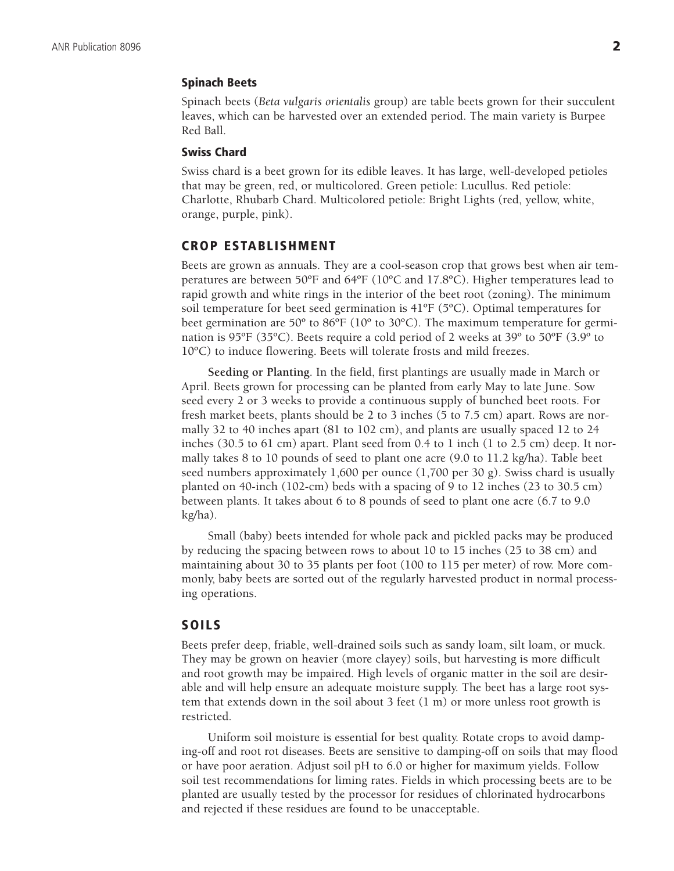#### **Spinach Beets**

Spinach beets (*Beta vulgaris orientalis* group) are table beets grown for their succulent leaves, which can be harvested over an extended period. The main variety is Burpee Red Ball.

## **Swiss Chard**

Swiss chard is a beet grown for its edible leaves. It has large, well-developed petioles that may be green, red, or multicolored. Green petiole: Lucullus. Red petiole: Charlotte, Rhubarb Chard. Multicolored petiole: Bright Lights (red, yellow, white, orange, purple, pink).

#### **CROP ESTABLISHMENT**

Beets are grown as annuals. They are a cool-season crop that grows best when air temperatures are between 50 $\textdegree$ F and 64 $\textdegree$ F (10 $\textdegree$ C and 17.8 $\textdegree$ C). Higher temperatures lead to rapid growth and white rings in the interior of the beet root (zoning). The minimum soil temperature for beet seed germination is 41ºF (5ºC). Optimal temperatures for beet germination are 50º to 86ºF (10º to 30ºC). The maximum temperature for germination is 95ºF (35ºC). Beets require a cold period of 2 weeks at 39º to 50ºF (3.9º to 10ºC) to induce flowering. Beets will tolerate frosts and mild freezes.

**Seeding or Planting**. In the field, first plantings are usually made in March or April. Beets grown for processing can be planted from early May to late June. Sow seed every 2 or 3 weeks to provide a continuous supply of bunched beet roots. For fresh market beets, plants should be 2 to 3 inches (5 to 7.5 cm) apart. Rows are normally 32 to 40 inches apart (81 to 102 cm), and plants are usually spaced 12 to 24 inches (30.5 to 61 cm) apart. Plant seed from 0.4 to 1 inch (1 to 2.5 cm) deep. It normally takes 8 to 10 pounds of seed to plant one acre (9.0 to 11.2 kg/ha). Table beet seed numbers approximately 1,600 per ounce (1,700 per 30 g). Swiss chard is usually planted on 40-inch (102-cm) beds with a spacing of 9 to 12 inches (23 to 30.5 cm) between plants. It takes about 6 to 8 pounds of seed to plant one acre (6.7 to 9.0 kg/ha).

Small (baby) beets intended for whole pack and pickled packs may be produced by reducing the spacing between rows to about 10 to 15 inches (25 to 38 cm) and maintaining about 30 to 35 plants per foot (100 to 115 per meter) of row. More commonly, baby beets are sorted out of the regularly harvested product in normal processing operations.

#### **SOILS**

Beets prefer deep, friable, well-drained soils such as sandy loam, silt loam, or muck. They may be grown on heavier (more clayey) soils, but harvesting is more difficult and root growth may be impaired. High levels of organic matter in the soil are desirable and will help ensure an adequate moisture supply. The beet has a large root system that extends down in the soil about 3 feet (1 m) or more unless root growth is restricted.

Uniform soil moisture is essential for best quality. Rotate crops to avoid damping-off and root rot diseases. Beets are sensitive to damping-off on soils that may flood or have poor aeration. Adjust soil pH to 6.0 or higher for maximum yields. Follow soil test recommendations for liming rates. Fields in which processing beets are to be planted are usually tested by the processor for residues of chlorinated hydrocarbons and rejected if these residues are found to be unacceptable.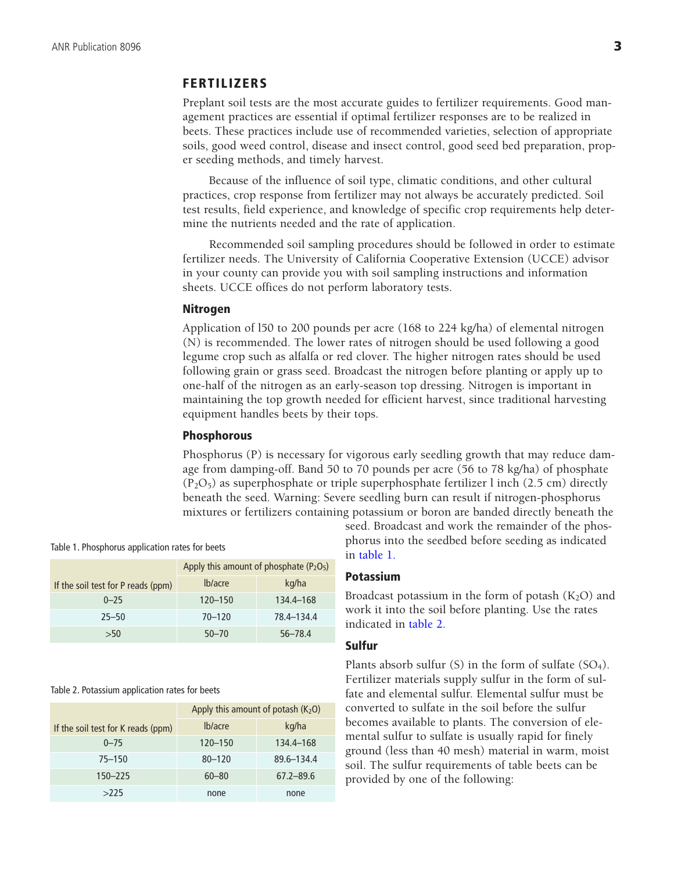# **FERTILIZERS**

Preplant soil tests are the most accurate guides to fertilizer requirements. Good management practices are essential if optimal fertilizer responses are to be realized in beets. These practices include use of recommended varieties, selection of appropriate soils, good weed control, disease and insect control, good seed bed preparation, proper seeding methods, and timely harvest.

Because of the influence of soil type, climatic conditions, and other cultural practices, crop response from fertilizer may not always be accurately predicted. Soil test results, field experience, and knowledge of specific crop requirements help determine the nutrients needed and the rate of application.

Recommended soil sampling procedures should be followed in order to estimate fertilizer needs. The University of California Cooperative Extension (UCCE) advisor in your county can provide you with soil sampling instructions and information sheets. UCCE offices do not perform laboratory tests.

#### **Nitrogen**

Application of l50 to 200 pounds per acre (168 to 224 kg/ha) of elemental nitrogen (N) is recommended. The lower rates of nitrogen should be used following a good legume crop such as alfalfa or red clover. The higher nitrogen rates should be used following grain or grass seed. Broadcast the nitrogen before planting or apply up to one-half of the nitrogen as an early-season top dressing. Nitrogen is important in maintaining the top growth needed for efficient harvest, since traditional harvesting equipment handles beets by their tops.

#### **Phosphorous**

Phosphorus (P) is necessary for vigorous early seedling growth that may reduce damage from damping-off. Band 50 to 70 pounds per acre (56 to 78 kg/ha) of phosphate  $(P_2O_5)$  as superphosphate or triple superphosphate fertilizer l inch (2.5 cm) directly beneath the seed. Warning: Severe seedling burn can result if nitrogen-phosphorus mixtures or fertilizers containing potassium or boron are banded directly beneath the

|                                    | Apply this amount of phosphate $(P_2O_5)$ |             |
|------------------------------------|-------------------------------------------|-------------|
| If the soil test for P reads (ppm) | lb/acre                                   | kg/ha       |
| $0 - 25$                           | $120 - 150$                               | 134.4–168   |
| $25 - 50$                          | $70 - 120$                                | 78.4-134.4  |
| >50                                | $50 - 70$                                 | $56 - 78.4$ |

#### Table 2. Potassium application rates for beets

|                                    | Apply this amount of potash $(K_2O)$ |               |
|------------------------------------|--------------------------------------|---------------|
| If the soil test for K reads (ppm) | lb/acre                              | kg/ha         |
| $0 - 75$                           | $120 - 150$                          | 134.4–168     |
| $75 - 150$                         | $80 - 120$                           | 89.6-134.4    |
| $150 - 225$                        | $60 - 80$                            | $67.2 - 89.6$ |
| >225                               | none                                 | none          |

seed. Broadcast and work the remainder of the phosphorus into the seedbed before seeding as indicated in table 1.

# **Potassium**

Broadcast potassium in the form of potash  $(K_2O)$  and work it into the soil before planting. Use the rates indicated in table 2.

#### **Sulfur**

Plants absorb sulfur  $(S)$  in the form of sulfate  $(SO<sub>4</sub>)$ . Fertilizer materials supply sulfur in the form of sulfate and elemental sulfur. Elemental sulfur must be converted to sulfate in the soil before the sulfur becomes available to plants. The conversion of elemental sulfur to sulfate is usually rapid for finely ground (less than 40 mesh) material in warm, moist soil. The sulfur requirements of table beets can be provided by one of the following: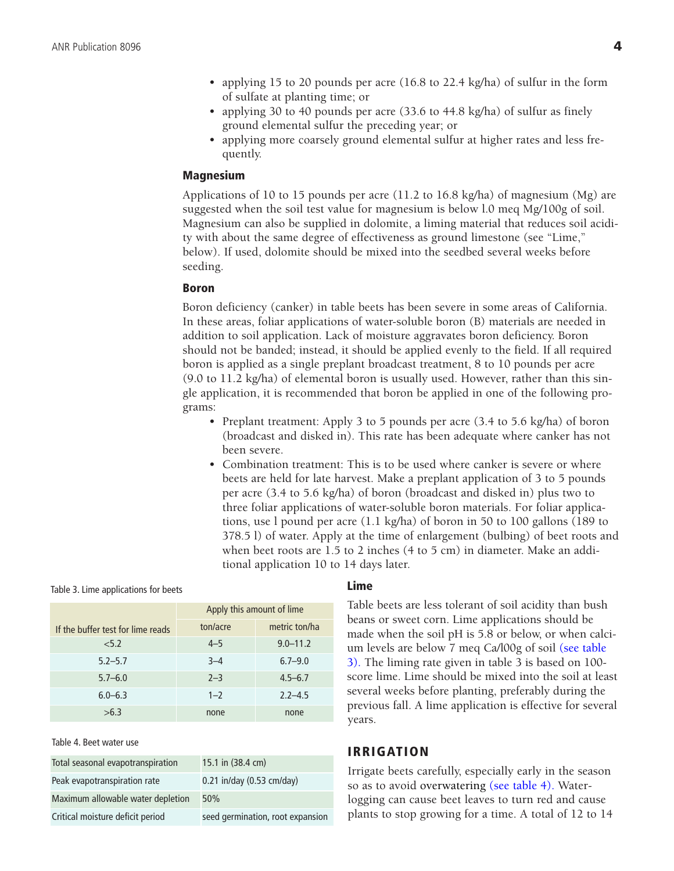- applying 15 to 20 pounds per acre (16.8 to 22.4 kg/ha) of sulfur in the form of sulfate at planting time; or
- applying 30 to 40 pounds per acre (33.6 to 44.8 kg/ha) of sulfur as finely ground elemental sulfur the preceding year; or
- applying more coarsely ground elemental sulfur at higher rates and less frequently.

#### **Magnesium**

Applications of 10 to 15 pounds per acre (11.2 to 16.8 kg/ha) of magnesium (Mg) are suggested when the soil test value for magnesium is below l.0 meq Mg/100g of soil. Magnesium can also be supplied in dolomite, a liming material that reduces soil acidity with about the same degree of effectiveness as ground limestone (see "Lime," below). If used, dolomite should be mixed into the seedbed several weeks before seeding.

#### **Boron**

Boron deficiency (canker) in table beets has been severe in some areas of California. In these areas, foliar applications of water-soluble boron (B) materials are needed in addition to soil application. Lack of moisture aggravates boron deficiency. Boron should not be banded; instead, it should be applied evenly to the field. If all required boron is applied as a single preplant broadcast treatment, 8 to 10 pounds per acre (9.0 to 11.2 kg/ha) of elemental boron is usually used. However, rather than this single application, it is recommended that boron be applied in one of the following programs:

- Preplant treatment: Apply 3 to 5 pounds per acre (3.4 to 5.6 kg/ha) of boron (broadcast and disked in). This rate has been adequate where canker has not been severe.
- Combination treatment: This is to be used where canker is severe or where beets are held for late harvest. Make a preplant application of 3 to 5 pounds per acre (3.4 to 5.6 kg/ha) of boron (broadcast and disked in) plus two to three foliar applications of water-soluble boron materials. For foliar applications, use l pound per acre (1.1 kg/ha) of boron in 50 to 100 gallons (189 to 378.5 l) of water. Apply at the time of enlargement (bulbing) of beet roots and when beet roots are 1.5 to 2 inches (4 to 5 cm) in diameter. Make an additional application 10 to 14 days later.

|  | Ap |
|--|----|
|  |    |

Table 3. Lime applications for beets

|                                   | Apply this amount of lime |               |
|-----------------------------------|---------------------------|---------------|
| If the buffer test for lime reads | ton/acre                  | metric ton/ha |
| < 5.2                             | $4 - 5$                   | $9.0 - 11.2$  |
| $5.2 - 5.7$                       | $3 - 4$                   | $6.7 - 9.0$   |
| $5.7 - 6.0$                       | $2 - 3$                   | $4.5 - 6.7$   |
| $6.0 - 6.3$                       | $1 - 2$                   | $2.2 - 4.5$   |
| >6.3                              | none                      | none          |

Table 4. Beet water use

| Total seasonal evapotranspiration | 15.1 in (38.4 cm)                |
|-----------------------------------|----------------------------------|
| Peak evapotranspiration rate      | 0.21 in/day (0.53 cm/day)        |
| Maximum allowable water depletion | 50%                              |
| Critical moisture deficit period  | seed germination, root expansion |

#### **Lime**

Table beets are less tolerant of soil acidity than bush beans or sweet corn. Lime applications should be made when the soil pH is 5.8 or below, or when calcium levels are below 7 meq Ca/l00g of soil (see table 3). The liming rate given in table 3 is based on 100 score lime. Lime should be mixed into the soil at least several weeks before planting, preferably during the previous fall. A lime application is effective for several years.

#### **IRRIGATION**

Irrigate beets carefully, especially early in the season so as to avoid overwatering (see table 4). Waterlogging can cause beet leaves to turn red and cause plants to stop growing for a time. A total of 12 to 14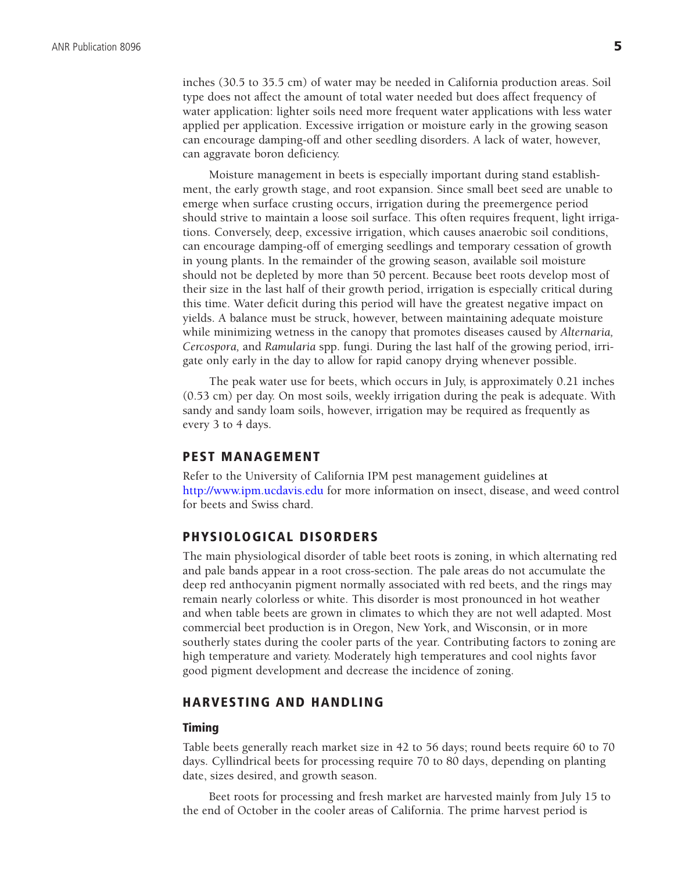inches (30.5 to 35.5 cm) of water may be needed in California production areas. Soil type does not affect the amount of total water needed but does affect frequency of water application: lighter soils need more frequent water applications with less water applied per application. Excessive irrigation or moisture early in the growing season can encourage damping-off and other seedling disorders. A lack of water, however, can aggravate boron deficiency.

Moisture management in beets is especially important during stand establishment, the early growth stage, and root expansion. Since small beet seed are unable to emerge when surface crusting occurs, irrigation during the preemergence period should strive to maintain a loose soil surface. This often requires frequent, light irrigations. Conversely, deep, excessive irrigation, which causes anaerobic soil conditions, can encourage damping-off of emerging seedlings and temporary cessation of growth in young plants. In the remainder of the growing season, available soil moisture should not be depleted by more than 50 percent. Because beet roots develop most of their size in the last half of their growth period, irrigation is especially critical during this time. Water deficit during this period will have the greatest negative impact on yields. A balance must be struck, however, between maintaining adequate moisture while minimizing wetness in the canopy that promotes diseases caused by *Alternaria, Cercospora,* and *Ramularia* spp. fungi. During the last half of the growing period, irrigate only early in the day to allow for rapid canopy drying whenever possible.

The peak water use for beets, which occurs in July, is approximately 0.21 inches (0.53 cm) per day. On most soils, weekly irrigation during the peak is adequate. With sandy and sandy loam soils, however, irrigation may be required as frequently as every 3 to 4 days.

## **PEST MANAGEMENT**

Refer to the University of California IPM pest management guidelines at <http://www.ipm.ucdavis.edu> for more information on insect, disease, and weed control for beets and Swiss chard.

# **PHYSIOLOGICAL DISORDERS**

The main physiological disorder of table beet roots is zoning, in which alternating red and pale bands appear in a root cross-section. The pale areas do not accumulate the deep red anthocyanin pigment normally associated with red beets, and the rings may remain nearly colorless or white. This disorder is most pronounced in hot weather and when table beets are grown in climates to which they are not well adapted. Most commercial beet production is in Oregon, New York, and Wisconsin, or in more southerly states during the cooler parts of the year. Contributing factors to zoning are high temperature and variety. Moderately high temperatures and cool nights favor good pigment development and decrease the incidence of zoning.

# **HARVESTING AND HANDLING**

#### **Timing**

Table beets generally reach market size in 42 to 56 days; round beets require 60 to 70 days. Cyllindrical beets for processing require 70 to 80 days, depending on planting date, sizes desired, and growth season.

Beet roots for processing and fresh market are harvested mainly from July 15 to the end of October in the cooler areas of California. The prime harvest period is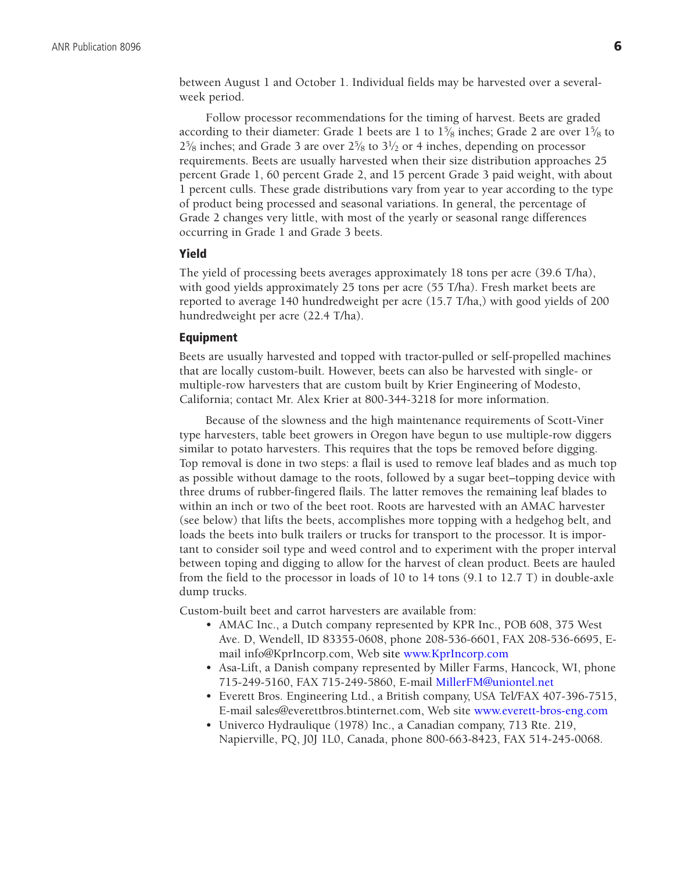between August 1 and October 1. Individual fields may be harvested over a severalweek period.

Follow processor recommendations for the timing of harvest. Beets are graded according to their diameter: Grade 1 beets are 1 to  $1\frac{5}{8}$  inches; Grade 2 are over  $1\frac{5}{8}$  to  $2\frac{5}{8}$  inches; and Grade 3 are over  $2\frac{5}{8}$  to  $3\frac{1}{2}$  or 4 inches, depending on processor requirements. Beets are usually harvested when their size distribution approaches 25 percent Grade 1, 60 percent Grade 2, and 15 percent Grade 3 paid weight, with about 1 percent culls. These grade distributions vary from year to year according to the type of product being processed and seasonal variations. In general, the percentage of Grade 2 changes very little, with most of the yearly or seasonal range differences occurring in Grade 1 and Grade 3 beets.

## **Yield**

The yield of processing beets averages approximately 18 tons per acre (39.6 T/ha), with good yields approximately 25 tons per acre (55 T/ha). Fresh market beets are reported to average 140 hundredweight per acre (15.7 T/ha,) with good yields of 200 hundredweight per acre (22.4 T/ha).

#### **Equipment**

Beets are usually harvested and topped with tractor-pulled or self-propelled machines that are locally custom-built. However, beets can also be harvested with single- or multiple-row harvesters that are custom built by Krier Engineering of Modesto, California; contact Mr. Alex Krier at 800-344-3218 for more information.

Because of the slowness and the high maintenance requirements of Scott-Viner type harvesters, table beet growers in Oregon have begun to use multiple-row diggers similar to potato harvesters. This requires that the tops be removed before digging. Top removal is done in two steps: a flail is used to remove leaf blades and as much top as possible without damage to the roots, followed by a sugar beet–topping device with three drums of rubber-fingered flails. The latter removes the remaining leaf blades to within an inch or two of the beet root. Roots are harvested with an AMAC harvester (see below) that lifts the beets, accomplishes more topping with a hedgehog belt, and loads the beets into bulk trailers or trucks for transport to the processor. It is important to consider soil type and weed control and to experiment with the proper interval between toping and digging to allow for the harvest of clean product. Beets are hauled from the field to the processor in loads of 10 to 14 tons (9.1 to 12.7 T) in double-axle dump trucks.

Custom-built beet and carrot harvesters are available from:

- AMAC Inc., a Dutch company represented by KPR Inc., POB 608, 375 West Ave. D, Wendell, ID 83355-0608, phone 208-536-6601, FAX 208-536-6695, Email info@KprIncorp.com, Web site [www.KprIncorp.com](http://www.KprIncorp.com)
- Asa-Lift, a Danish company represented by Miller Farms, Hancock, WI, phone 715-249-5160, FAX 715-249-5860, E-mail [MillerFM@uniontel.net](mailto:MillerFM@uniontel.net)
- Everett Bros. Engineering Ltd., a British company, USA Tel/FAX 407-396-7515, E-mail sales@everettbros.btinternet.com, Web site [www.everett-bros-eng.com](http://www.everett-bros-eng.com)
- Univerco Hydraulique (1978) Inc., a Canadian company, 713 Rte. 219, Napierville, PQ, J0J 1L0, Canada, phone 800-663-8423, FAX 514-245-0068.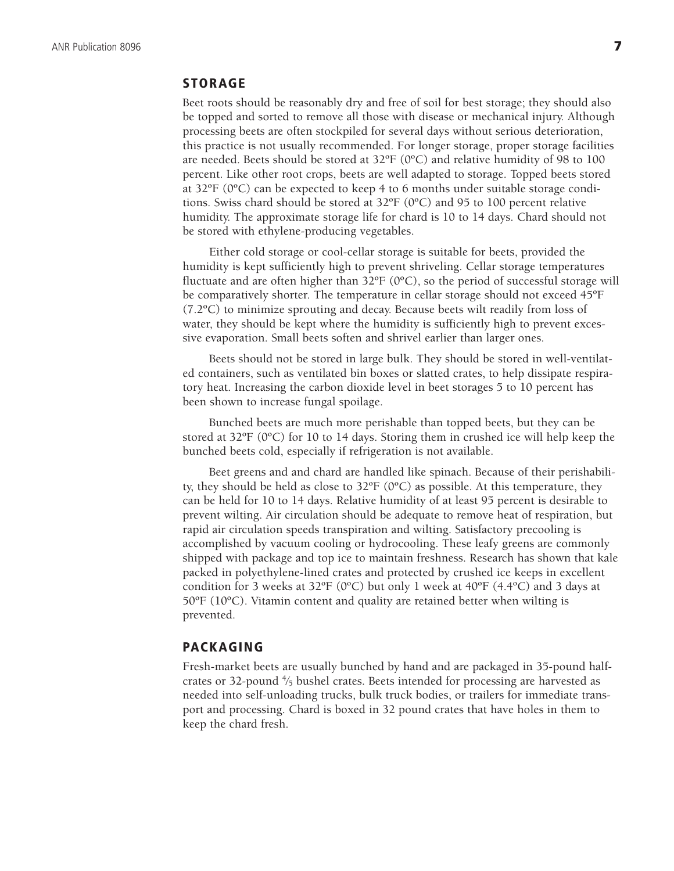# **STORAGE**

Beet roots should be reasonably dry and free of soil for best storage; they should also be topped and sorted to remove all those with disease or mechanical injury. Although processing beets are often stockpiled for several days without serious deterioration, this practice is not usually recommended. For longer storage, proper storage facilities are needed. Beets should be stored at  $32^{\circ}F (0^{\circ}C)$  and relative humidity of 98 to 100 percent. Like other root crops, beets are well adapted to storage. Topped beets stored at 32ºF (0ºC) can be expected to keep 4 to 6 months under suitable storage conditions. Swiss chard should be stored at  $32^{\circ}F (0^{\circ}C)$  and 95 to 100 percent relative humidity. The approximate storage life for chard is 10 to 14 days. Chard should not be stored with ethylene-producing vegetables.

Either cold storage or cool-cellar storage is suitable for beets, provided the humidity is kept sufficiently high to prevent shriveling. Cellar storage temperatures fluctuate and are often higher than  $32^{\circ}F(0^{\circ}C)$ , so the period of successful storage will be comparatively shorter. The temperature in cellar storage should not exceed 45ºF (7.2ºC) to minimize sprouting and decay. Because beets wilt readily from loss of water, they should be kept where the humidity is sufficiently high to prevent excessive evaporation. Small beets soften and shrivel earlier than larger ones.

Beets should not be stored in large bulk. They should be stored in well-ventilated containers, such as ventilated bin boxes or slatted crates, to help dissipate respiratory heat. Increasing the carbon dioxide level in beet storages 5 to 10 percent has been shown to increase fungal spoilage.

Bunched beets are much more perishable than topped beets, but they can be stored at  $32^{\circ}F$  (0°C) for 10 to 14 days. Storing them in crushed ice will help keep the bunched beets cold, especially if refrigeration is not available.

Beet greens and and chard are handled like spinach. Because of their perishability, they should be held as close to  $32^{\circ}F$  (0°C) as possible. At this temperature, they can be held for 10 to 14 days. Relative humidity of at least 95 percent is desirable to prevent wilting. Air circulation should be adequate to remove heat of respiration, but rapid air circulation speeds transpiration and wilting. Satisfactory precooling is accomplished by vacuum cooling or hydrocooling. These leafy greens are commonly shipped with package and top ice to maintain freshness. Research has shown that kale packed in polyethylene-lined crates and protected by crushed ice keeps in excellent condition for 3 weeks at 32 $\textdegree$ F (0 $\textdegree$ C) but only 1 week at 40 $\textdegree$ F (4.4 $\textdegree$ C) and 3 days at  $50^{\circ}$ F (10 $^{\circ}$ C). Vitamin content and quality are retained better when wilting is prevented.

# **PACKAGING**

Fresh-market beets are usually bunched by hand and are packaged in 35-pound halfcrates or 32-pound  $\frac{4}{5}$  bushel crates. Beets intended for processing are harvested as needed into self-unloading trucks, bulk truck bodies, or trailers for immediate transport and processing. Chard is boxed in 32 pound crates that have holes in them to keep the chard fresh.